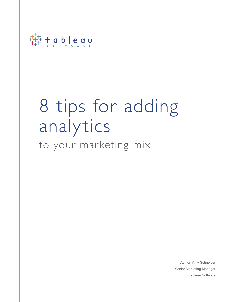

# to your marketing mix 8 tips for adding analytics

Author: Amy Schneider Senior Marketing Manager Tableau Software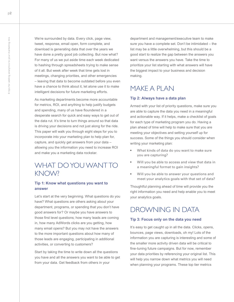We're surrounded by data. Every click, page view, tweet, response, email open, form complete, and download is generating data that over the years we have done a pretty good job collecting. But now what? For many of us we put aside time each week dedicated to hashing through spreadsheets trying to make sense of it all. But week after week that time gets lost in meetings, changing priorities, and other emergencies – leaving that data to become outdated before you even have a chance to think about it, let alone use it to make intelligent decisions for future marketing efforts.

As marketing departments become more accountable for metrics, ROI, and anything to help justify budgets and spending, many of us have floundered in a desperate search for quick and easy ways to get out of the data rut. It's time to turn things around so that data is driving your decisions and not just along for the ride. This paper will walk you through eight steps for you to incorporate into your marketing plan to help plan for, capture, and quickly get answers from your data – allowing you the information you need to increase ROI and make you a marketing data rockstar.

## WHAT DO YOU WANT TO KNOW?

#### **Tip 1: Know what questions you want to answer**

Let's start at the very beginning. What questions do you have? What questions are others asking about your department, programs, or spending that you don't have good answers for? Or maybe you have answers to those first level questions; how many leads are coming in, how many AdWords clicks are you getting, how many email opens? But you may not have the answers to the more important questions about how many of those leads are engaging, participating in additional activities, or converting to customers?

Start by taking the time to write down all the questions you have and all the answers you want to be able to get from your data. Get feedback from others in your

department and management/executive team to make sure you have a complete set. Don't be intimidated – the list may be a little overwhelming, but this should be a good start to realize the gap between the answers you want versus the answers you have. Take the time to prioritize your list starting with what answers will have the biggest impact to your business and decision making.

## MAKE A PLAN

#### **Tip 2: Always have a data plan**

Armed with your list of priority questions, make sure you are able to capture the data you need in a meaningful and actionable way. If it helps, make a checklist of goals for each type of marketing program you do. Having a plan ahead of time will help to make sure that you are meeting your objectives and setting yourself up for success. Some of the things you should consider when writing your marketing plan:

- What kinds of data do you want to make sure you are capturing?
- Will you be able to access and view that data in a meaningful format to gain insights?
- Will you be able to answer your questions and meet your analytics goals with that set of data?

Thoughtful planning ahead of time will provide you the right information you need and help enable you to meet your analytics goals.

## DROWNING IN DATA

#### **Tip 3: Focus only on the data you need**

It's easy to get caught up in all the data. Clicks, opens, bounces, page views, downloads, oh my! Lots of the information you are capturing is interesting and some of the smaller more activity driven data will be critical to fine-tuning future campaigns. But for now, remember your data priorities by referencing your original list. This will help you narrow down what metrics you will need when planning your programs. These top tier metrics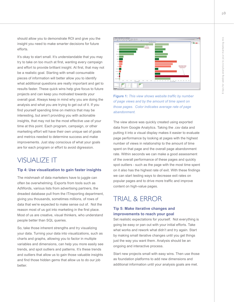should allow you to demonstrate ROI and give you the insight you need to make smarter decisions for future efforts.

It's okay to start small. It's understandable that you may try to take on too much at first, wanting every campaign and effort to provide brilliant insight. At first, that may not be a realistic goal. Starting with small consumable pieces of information will better allow you to identify what additional questions are really important and get to results faster. These quick wins help give focus to future projects and can keep you motivated towards your overall goal. Always keep in mind why you are doing the analysis and what you are trying to get out of it. If you find yourself spending time on metrics that may be interesting, but aren't providing you with actionable insights, that may not be the most effective use of your time at this point. Each program, campaign, or other marketing effort will have their own unique set of goals and metrics needed to determine success and make improvements. Just stay conscious of what your goals are for each program or effort to avoid digression.

## VISUALIZE IT

#### **Tip 4: Use visualization to gain faster insights**

The mishmash of data marketers have to juggle can often be overwhelming. Exports from tools such as AdWords, various lists from advertising partners, the dreaded database pull from the IT/reporting department, giving you thousands, sometimes millions, of rows of data that we're expected to make sense out of. Not the reason most of us got into marketing in the first place. Most of us are creative, visual thinkers, who understand people better than SQL queries.

So, take those inherent strengths and try visualizing your data. Turning your data into visualizations, such as charts and graphs, allowing you to factor in multiple variables and dimensions, can help you more easily see trends, and spot outliers and patterns. It's these trends and outliers that allow us to gain those valuable insights and find those hidden gems that allow us to do our job better.



## **Figure 1:** *This view shows website traffic by number of page views and by the amount of time spent on those pages. Color indicates average rate of page abandonment.*

The view above was quickly created using exported data from Google Analytics. Taking the .csv data and putting it into a visual display makes it easier to evaluate page performance by looking at pages with the highest number of views in relationship to the amount of time spent on that page and the overall page abandonment rate. Within seconds we can make a good assessment of the overall performance of these pages and quickly spot outliers - such as the page with the most time spent on it also has the highest rate of exit. With these findings we can start testing ways to decrease exit rates on popular pages and to drive more traffic and improve content on high-value pages.

## TRIAL & ERROR

## **Tip 5: Make iterative changes and improvements to reach your goal**

Set realistic expectations for yourself. Not everything is going be easy or pan out with your initial efforts. Take what works and rework what didn't and try again. Start by making small iterative changes until you get things just the way you want them. Analysis should be an ongoing and interactive process.

Start new projects small with easy wins. Then use those as foundation platforms to add new dimensions and additional information until your analysis goals are met.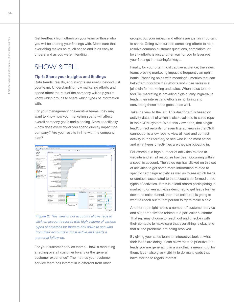Get feedback from others on your team or those who you will be sharing your findings with. Make sure that everything makes as much sense and is as easy to understand as you were intending..

## SHOW & TELL

#### **Tip 6: Share your insights and findings**

Data trends, results, and insights are useful beyond just your team. Understanding how marketing efforts and spend affect the rest of the company will help you to know which groups to share which types of information with.

For your management or executive teams, they may want to know how your marketing spend will affect overall company goals and planning. More specifically – how does every dollar you spend directly impact the company? Are your results in-line with the company plan?



**Figure 2:** *This view of hot accounts allows reps to click on account records with high volume of various types of activities for them to drill down to see who from their accounts is most active and needs a personal follow-up.*

For your customer service teams – how is marketing affecting overall customer loyalty or the general customer experience? The metrics your customer service team has interest in is different from other

groups, but your impact and efforts are just as important to share. Going even further, combining efforts to help resolve common customer questions, complaints, or loyalty efforts is just another way for you to leverage your findings in meaningful ways.

Finally, for your often most captive audience, the sales team, proving marketing impact is frequently an uphill battle. Providing sales with meaningful metrics that can help them prioritize their efforts and close sales is a joint win for marketing and sales. When sales teams feel like marketing is providing high-quality, high-value leads, their interest and efforts in nurturing and converting those leads goes up as well.

Take the view to the left. This dashboard is based on activity data, all of which is also available to sales reps in their CRM system. What this view does, that single lead/contact records, or even filtered views in the CRM cannot do, is allow reps to view all lead and contact activity in their territory to see who is the most active and what types of activities are they participating in.

For example, a high number of activities related to website and email response has been occurring within a specific account. The sales rep has clicked on this set of activities to get some more information related to specific campaign activity as well as to see which leads or contacts associated to that account performed those types of activities. If this is a lead record participating in marketing driven activities designed to get leads further down the sales funnel, then that sales rep is going to want to reach out to that person to try to make a sale.

Another rep might notice a number of customer service and support activities related to a particular customer. That rep may choose to reach out and check-in with their contacts to make sure that everything is okay and that all the problems are being resolved.

By giving your sales team an interactive look at what their leads are doing, it can allow them to prioritize the leads you are generating in a way that is meaningful for them. It can also give visibility to dormant leads that have started to regain interest.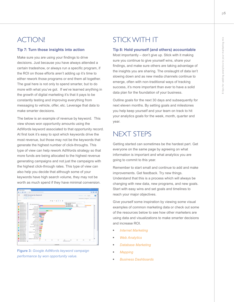## ACTION!

#### **Tip 7: Turn those insights into action**

Make sure you are using your findings to drive decisions. Just because you have always attended a certain tradeshow, or always run a specific program, if the ROI on those efforts aren't adding up it's time to either rework those programs or end them all together. The goal here is not only to spend smarter, but to do more with what you've got. If we've learned anything in the growth of digital marketing it's that it pays to be constantly testing and improving everything from messaging to vehicle, offer, etc. Leverage that data to make smarter decisions.

The below is an example of revenue by keyword. This view shows won opportunity amounts using the AdWords keyword associated to that opportunity record. At first look it's easy to spot which keywords drive the most revenue, but those may not be the keywords that generate the highest number of click-throughs. This type of view can help rework AdWords strategy so that more funds are being allocated to the highest revenue generating campaigns and not just the campaigns with the highest click-through rates. This type of view can also help you decide that although some of your keywords have high search volume, they may not be worth as much spend if they have minimal conversion.



**Figure 3:** *Google AdWords keyword campaign performance by won opportunity value.*

# STICK WITH IT

## **Tip 8: Hold yourself (and others) accountable**

Most importantly – don't give up. Stick with it making sure you continue to give yourself wins, share your findings, and make sure others are taking advantage of the insights you are sharing. The onslaught of data isn't slowing down and as new media channels continue to emerge, often with non-traditional ways of tracking success, it's more important than ever to have a solid data plan for the foundation of your business.

Outline goals for the next 30 days and subsequently for next eleven months. By setting goals and milestones you help keep yourself and your team on track to hit your analytics goals for the week, month, quarter and year.

# NEXT STEPS

Getting started can sometimes be the hardest part. Get everyone on the same page by agreeing on what information is important and what analytics you are going to commit to this year.

Remember to start small and continue to add and make improvements. Get feedback. Try new things. Understand that this is a process which will always be changing with new data, new programs, and new goals. Start with easy wins and set goals and timelines to reach your major objectives.

Give yourself some inspiration by viewing some visual examples of common marketing data or check out some of the resources below to see how other marketers are using data and visualizations to make smarter decisions and increase ROI.

- **[Internet Marketing](http://www.tableausoftware.com/solutions/internet-marketing)**
- **[Web Analytics](http://www.tableausoftware.com/solutions/web-analytics)**
- **[Database Marketing](http://www.tableausoftware.com/solutions/database-marketing)**
- • *[Mapping](http://www.tableausoftware.com/solutions/mapping)*
- **[Business Dashboards](http://www.tableausoftware.com/solutions/business-dashboards)**